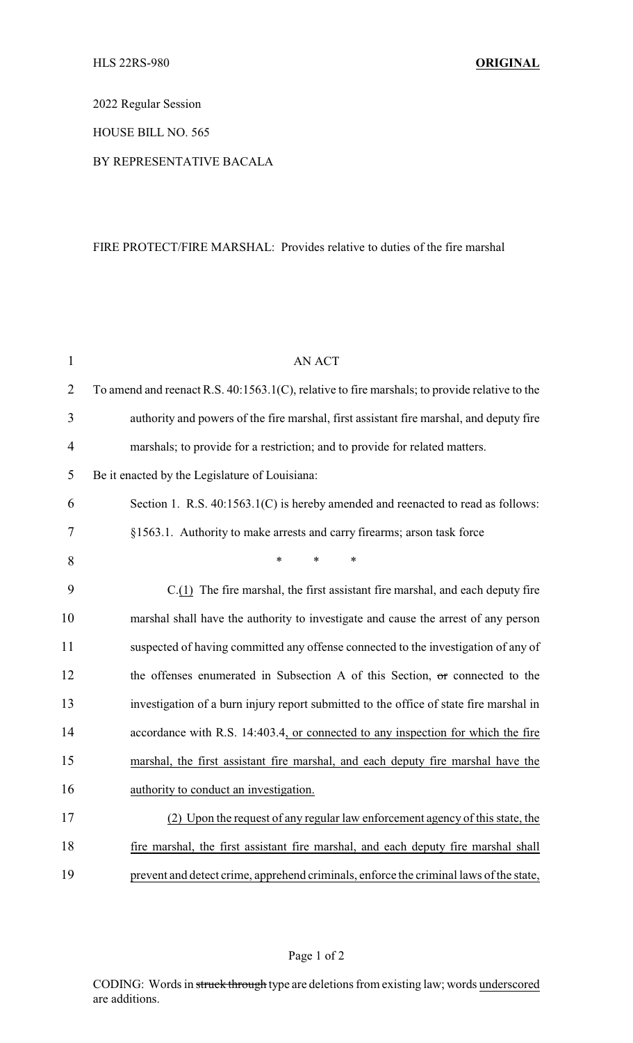2022 Regular Session

HOUSE BILL NO. 565

## BY REPRESENTATIVE BACALA

## FIRE PROTECT/FIRE MARSHAL: Provides relative to duties of the fire marshal

| $\mathbf{1}$   | <b>AN ACT</b>                                                                                 |
|----------------|-----------------------------------------------------------------------------------------------|
| $\overline{2}$ | To amend and reenact R.S. 40:1563.1(C), relative to fire marshals; to provide relative to the |
| 3              | authority and powers of the fire marshal, first assistant fire marshal, and deputy fire       |
| 4              | marshals; to provide for a restriction; and to provide for related matters.                   |
| 5              | Be it enacted by the Legislature of Louisiana:                                                |
| 6              | Section 1. R.S. 40:1563.1(C) is hereby amended and reenacted to read as follows:              |
| 7              | §1563.1. Authority to make arrests and carry firearms; arson task force                       |
| 8              | $\ast$<br>*<br>*                                                                              |
| 9              | $C(1)$ The fire marshal, the first assistant fire marshal, and each deputy fire               |
| 10             | marshal shall have the authority to investigate and cause the arrest of any person            |
| 11             | suspected of having committed any offense connected to the investigation of any of            |
| 12             | the offenses enumerated in Subsection A of this Section, or connected to the                  |
| 13             | investigation of a burn injury report submitted to the office of state fire marshal in        |
| 14             | accordance with R.S. 14:403.4, or connected to any inspection for which the fire              |
| 15             | marshal, the first assistant fire marshal, and each deputy fire marshal have the              |
| 16             | authority to conduct an investigation.                                                        |
| 17             | (2) Upon the request of any regular law enforcement agency of this state, the                 |
| 18             | fire marshal, the first assistant fire marshal, and each deputy fire marshal shall            |
| 19             | prevent and detect crime, apprehend criminals, enforce the criminal laws of the state,        |